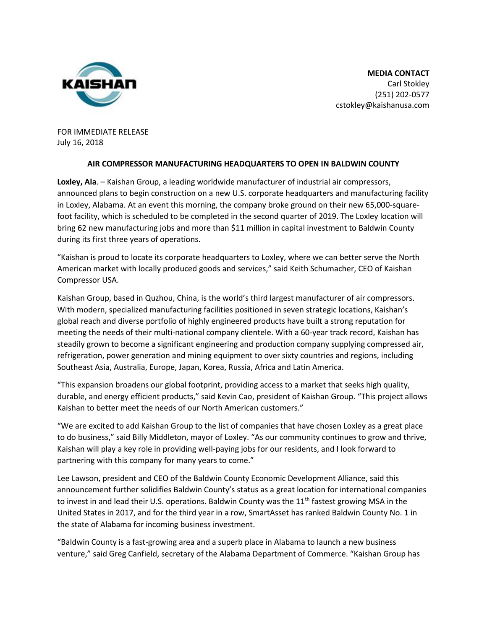

**MEDIA CONTACT** Carl Stokley (251) 202-0577 cstokley@kaishanusa.com

FOR IMMEDIATE RELEASE July 16, 2018

## **AIR COMPRESSOR MANUFACTURING HEADQUARTERS TO OPEN IN BALDWIN COUNTY**

**Loxley, Ala**. – Kaishan Group, a leading worldwide manufacturer of industrial air compressors, announced plans to begin construction on a new U.S. corporate headquarters and manufacturing facility in Loxley, Alabama. At an event this morning, the company broke ground on their new 65,000-squarefoot facility, which is scheduled to be completed in the second quarter of 2019. The Loxley location will bring 62 new manufacturing jobs and more than \$11 million in capital investment to Baldwin County during its first three years of operations.

"Kaishan is proud to locate its corporate headquarters to Loxley, where we can better serve the North American market with locally produced goods and services," said Keith Schumacher, CEO of Kaishan Compressor USA.

Kaishan Group, based in Quzhou, China, is the world's third largest manufacturer of air compressors. With modern, specialized manufacturing facilities positioned in seven strategic locations, Kaishan's global reach and diverse portfolio of highly engineered products have built a strong reputation for meeting the needs of their multi-national company clientele. With a 60-year track record, Kaishan has steadily grown to become a significant engineering and production company supplying compressed air, refrigeration, power generation and mining equipment to over sixty countries and regions, including Southeast Asia, Australia, Europe, Japan, Korea, Russia, Africa and Latin America.

"This expansion broadens our global footprint, providing access to a market that seeks high quality, durable, and energy efficient products," said Kevin Cao, president of Kaishan Group. "This project allows Kaishan to better meet the needs of our North American customers."

"We are excited to add Kaishan Group to the list of companies that have chosen Loxley as a great place to do business," said Billy Middleton, mayor of Loxley. "As our community continues to grow and thrive, Kaishan will play a key role in providing well-paying jobs for our residents, and I look forward to partnering with this company for many years to come."

Lee Lawson, president and CEO of the Baldwin County Economic Development Alliance, said this announcement further solidifies Baldwin County's status as a great location for international companies to invest in and lead their U.S. operations. Baldwin County was the  $11<sup>th</sup>$  fastest growing MSA in the United States in 2017, and for the third year in a row, SmartAsset has ranked Baldwin County No. 1 in the state of Alabama for incoming business investment.

"Baldwin County is a fast-growing area and a superb place in Alabama to launch a new business venture," said Greg Canfield, secretary of the Alabama Department of Commerce. "Kaishan Group has